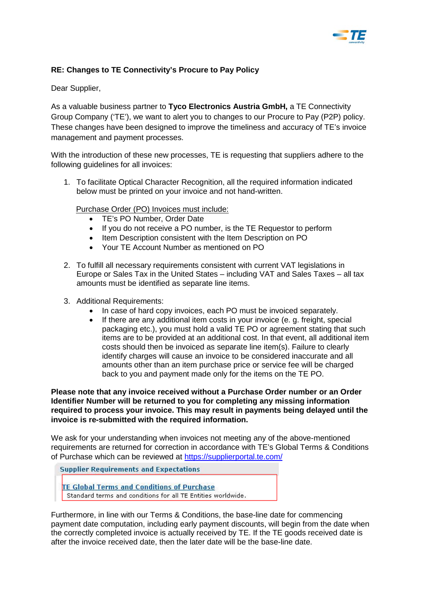

## **RE: Changes to TE Connectivity's Procure to Pay Policy**

Dear Supplier,

As a valuable business partner to **Tyco Electronics Austria GmbH,** a TE Connectivity Group Company ('TE'), we want to alert you to changes to our Procure to Pay (P2P) policy. These changes have been designed to improve the timeliness and accuracy of TE's invoice management and payment processes.

With the introduction of these new processes, TE is requesting that suppliers adhere to the following guidelines for all invoices:

1. To facilitate Optical Character Recognition, all the required information indicated below must be printed on your invoice and not hand-written.

## Purchase Order (PO) Invoices must include:

- TE's PO Number, Order Date
- If you do not receive a PO number, is the TE Requestor to perform
- Item Description consistent with the Item Description on PO
- Your TE Account Number as mentioned on PO
- 2. To fulfill all necessary requirements consistent with current VAT legislations in Europe or Sales Tax in the United States – including VAT and Sales Taxes – all tax amounts must be identified as separate line items.
- 3. Additional Requirements:
	- In case of hard copy invoices, each PO must be invoiced separately.
	- If there are any additional item costs in your invoice (e. g. freight, special packaging etc.), you must hold a valid TE PO or agreement stating that such items are to be provided at an additional cost. In that event, all additional item costs should then be invoiced as separate line item(s). Failure to clearly identify charges will cause an invoice to be considered inaccurate and all amounts other than an item purchase price or service fee will be charged back to you and payment made only for the items on the TE PO.

**Please note that any invoice received without a Purchase Order number or an Order Identifier Number will be returned to you for completing any missing information required to process your invoice. This may result in payments being delayed until the invoice is re-submitted with the required information.** 

We ask for your understanding when invoices not meeting any of the above-mentioned requirements are returned for correction in accordance with TE's Global Terms & Conditions of Purchase which can be reviewed at<https://supplierportal.te.com/>

**Supplier Requirements and Expectations** 

**TE Global Terms and Conditions of Purchase** 

Standard terms and conditions for all TE Entities worldwide.

Furthermore, in line with our Terms & Conditions, the base-line date for commencing payment date computation, including early payment discounts, will begin from the date when the correctly completed invoice is actually received by TE. If the TE goods received date is after the invoice received date, then the later date will be the base-line date.